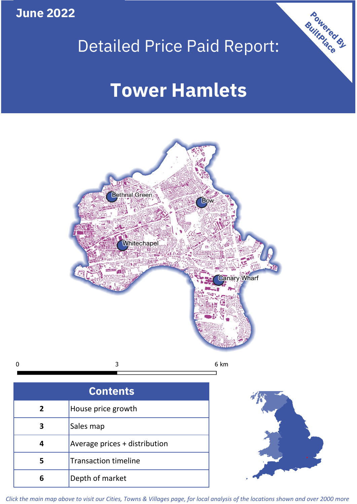**June 2022**





 $\mathbf 0$ 

| × |  |
|---|--|
|   |  |

| <b>Contents</b> |                               |  |  |
|-----------------|-------------------------------|--|--|
| $\overline{2}$  | House price growth            |  |  |
| 3               | Sales map                     |  |  |
| 4               | Average prices + distribution |  |  |
| 5               | <b>Transaction timeline</b>   |  |  |
| հ               | Depth of market               |  |  |



*Click the main map above to visit our Cities, Towns & Villages page, for local analysis of the locations shown and over 2000 more*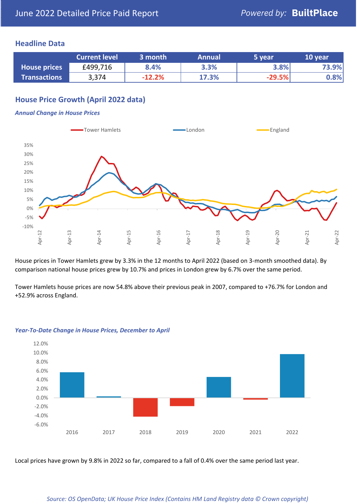### **Headline Data**

|                     | <b>Current level</b> | ا 3 month | <b>Annual</b> | 5 year   | 10 year |
|---------------------|----------------------|-----------|---------------|----------|---------|
| <b>House prices</b> | £499,716             | 8.4%      | 3.3%          | 3.8%     | 73.9%   |
| <b>Transactions</b> | 3,374                | $-12.2%$  | 17.3%         | $-29.5%$ | 0.8%    |

# **House Price Growth (April 2022 data)**

#### *Annual Change in House Prices*



House prices in Tower Hamlets grew by 3.3% in the 12 months to April 2022 (based on 3-month smoothed data). By comparison national house prices grew by 10.7% and prices in London grew by 6.7% over the same period.

Tower Hamlets house prices are now 54.8% above their previous peak in 2007, compared to +76.7% for London and +52.9% across England.



#### *Year-To-Date Change in House Prices, December to April*

Local prices have grown by 9.8% in 2022 so far, compared to a fall of 0.4% over the same period last year.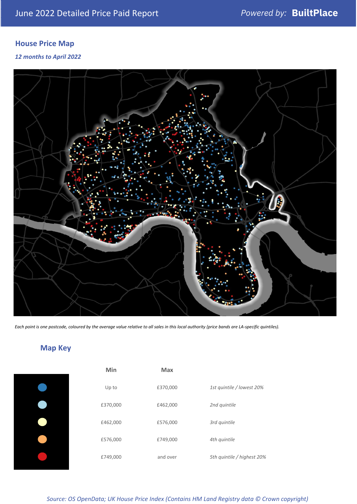# **House Price Map**

*12 months to April 2022*



*Each point is one postcode, coloured by the average value relative to all sales in this local authority (price bands are LA-specific quintiles).*

**Map Key**

| Min      | <b>Max</b> |                            |
|----------|------------|----------------------------|
| Up to    | £370,000   | 1st quintile / lowest 20%  |
| £370,000 | £462,000   | 2nd quintile               |
| £462,000 | £576,000   | 3rd quintile               |
| £576,000 | £749,000   | 4th quintile               |
| £749,000 | and over   | 5th quintile / highest 20% |

*Source: OS OpenData; UK House Price Index (Contains HM Land Registry data © Crown copyright)*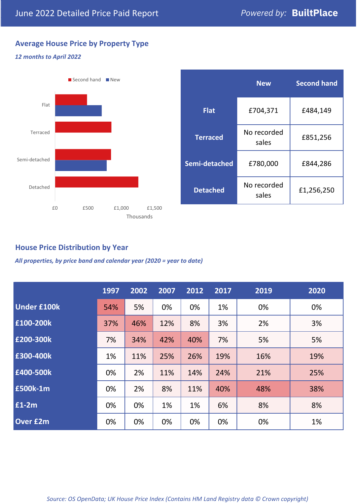# **Average House Price by Property Type**

#### *12 months to April 2022*



|                 | <b>New</b>           | <b>Second hand</b> |  |  |
|-----------------|----------------------|--------------------|--|--|
| <b>Flat</b>     | £704,371             | £484,149           |  |  |
| <b>Terraced</b> | No recorded<br>sales | £851,256           |  |  |
| Semi-detached   | £780,000             | £844,286           |  |  |
| <b>Detached</b> | No recorded<br>sales | £1,256,250         |  |  |

## **House Price Distribution by Year**

*All properties, by price band and calendar year (2020 = year to date)*

|                    | 1997 | 2002 | 2007 | 2012 | 2017 | 2019 | 2020 |
|--------------------|------|------|------|------|------|------|------|
| <b>Under £100k</b> | 54%  | 5%   | 0%   | 0%   | 1%   | 0%   | 0%   |
| £100-200k          | 37%  | 46%  | 12%  | 8%   | 3%   | 2%   | 3%   |
| E200-300k          | 7%   | 34%  | 42%  | 40%  | 7%   | 5%   | 5%   |
| £300-400k          | 1%   | 11%  | 25%  | 26%  | 19%  | 16%  | 19%  |
| £400-500k          | 0%   | 2%   | 11%  | 14%  | 24%  | 21%  | 25%  |
| <b>£500k-1m</b>    | 0%   | 2%   | 8%   | 11%  | 40%  | 48%  | 38%  |
| £1-2m              | 0%   | 0%   | 1%   | 1%   | 6%   | 8%   | 8%   |
| <b>Over £2m</b>    | 0%   | 0%   | 0%   | 0%   | 0%   | 0%   | 1%   |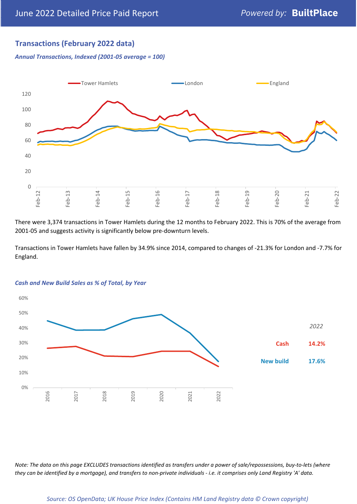## **Transactions (February 2022 data)**

*Annual Transactions, Indexed (2001-05 average = 100)*



There were 3,374 transactions in Tower Hamlets during the 12 months to February 2022. This is 70% of the average from 2001-05 and suggests activity is significantly below pre-downturn levels.

Transactions in Tower Hamlets have fallen by 34.9% since 2014, compared to changes of -21.3% for London and -7.7% for England.



#### *Cash and New Build Sales as % of Total, by Year*

*Note: The data on this page EXCLUDES transactions identified as transfers under a power of sale/repossessions, buy-to-lets (where they can be identified by a mortgage), and transfers to non-private individuals - i.e. it comprises only Land Registry 'A' data.*